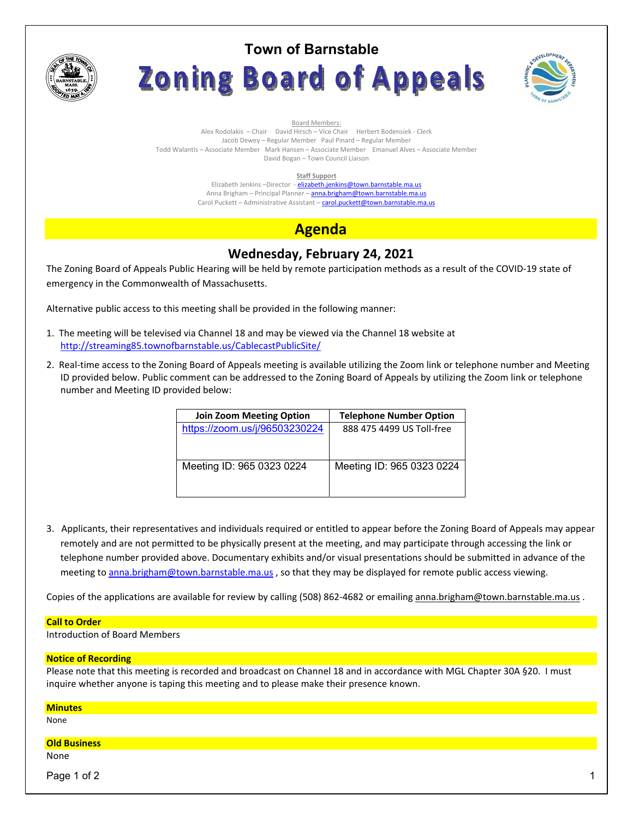

# **Town of Barnstable** Zoning Board of Appeals



Board Members: Alex Rodolakis – Chair David Hirsch – Vice Chair Herbert Bodensiek - Clerk Jacob Dewey – Regular Member Paul Pinard – Regular Member Todd Walantis – Associate Member Mark Hansen – Associate Member Emanuel Alves – Associate Member David Bogan – Town Council Liaison

#### **Staff Support**

Elizabeth Jenkins -Director - elizabeth.jenkins@town.barnstable.ma.us Anna Brigham - Principal Planner - anna.brigham@town.barnstable.ma.us Carol Puckett – Administrative Assistant – carol.puckett@town.barnstable.ma.us

# **Agenda**

## **Wednesday, February 24, 2021**

The Zoning Board of Appeals Public Hearing will be held by remote participation methods as a result of the COVID-19 state of emergency in the Commonwealth of Massachusetts.

Alternative public access to this meeting shall be provided in the following manner:

- 1. The meeting will be televised via Channel 18 and may be viewed via the Channel 18 website at http://streaming85.townofbarnstable.us/CablecastPublicSite/
- 2. Real-time access to the Zoning Board of Appeals meeting is available utilizing the Zoom link or telephone number and Meeting ID provided below. Public comment can be addressed to the Zoning Board of Appeals by utilizing the Zoom link or telephone number and Meeting ID provided below:

| <b>Join Zoom Meeting Option</b> | <b>Telephone Number Option</b> |
|---------------------------------|--------------------------------|
| https://zoom.us/j/96503230224   | 888 475 4499 US Toll-free      |
|                                 |                                |
|                                 |                                |
| Meeting ID: 965 0323 0224       | Meeting ID: 965 0323 0224      |
|                                 |                                |
|                                 |                                |

3. Applicants, their representatives and individuals required or entitled to appear before the Zoning Board of Appeals may appear remotely and are not permitted to be physically present at the meeting, and may participate through accessing the link or telephone number provided above. Documentary exhibits and/or visual presentations should be submitted in advance of the meeting to anna.brigham@town.barnstable.ma.us, so that they may be displayed for remote public access viewing.

Copies of the applications are available for review by calling (508) 862-4682 or emailing anna.brigham@town.barnstable.ma.us .

#### **Call to Order**

Introduction of Board Members

### **Notice of Recording**

Please note that this meeting is recorded and broadcast on Channel 18 and in accordance with MGL Chapter 30A §20. I must inquire whether anyone is taping this meeting and to please make their presence known.

| <b>Minutes</b><br>None |  |
|------------------------|--|
|                        |  |
|                        |  |
| <b>Old Business</b>    |  |
| None                   |  |